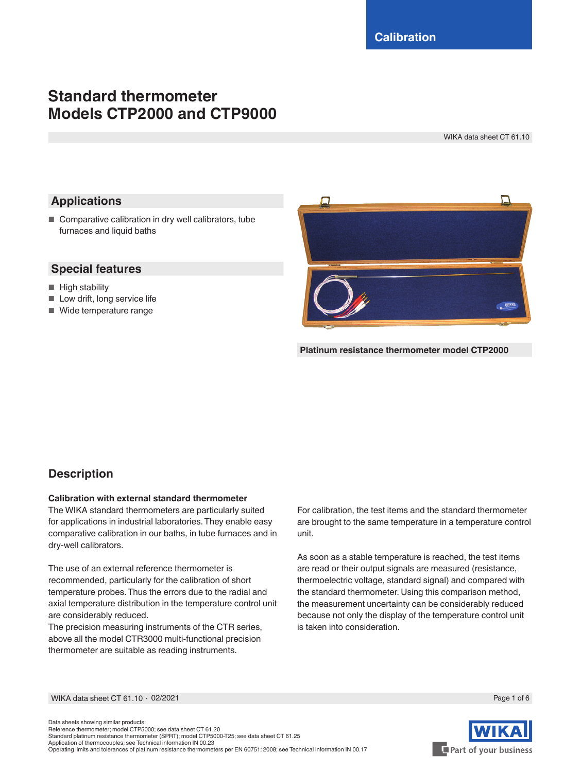# **Standard thermometer Models CTP2000 and CTP9000**

WIKA data sheet CT 61.10

# **Applications**

■ Comparative calibration in dry well calibrators, tube furnaces and liquid baths

### **Special features**

- High stability
- Low drift, long service life
- Wide temperature range



**Platinum resistance thermometer model CTP2000**

### **Description**

### **Calibration with external standard thermometer**

The WIKA standard thermometers are particularly suited for applications in industrial laboratories. They enable easy comparative calibration in our baths, in tube furnaces and in dry-well calibrators.

The use of an external reference thermometer is recommended, particularly for the calibration of short temperature probes. Thus the errors due to the radial and axial temperature distribution in the temperature control unit are considerably reduced.

The precision measuring instruments of the CTR series, above all the model CTR3000 multi-functional precision thermometer are suitable as reading instruments.

For calibration, the test items and the standard thermometer are brought to the same temperature in a temperature control unit.

As soon as a stable temperature is reached, the test items are read or their output signals are measured (resistance, thermoelectric voltage, standard signal) and compared with the standard thermometer. Using this comparison method, the measurement uncertainty can be considerably reduced because not only the display of the temperature control unit is taken into consideration.

WIKA data sheet CT 61.10 ⋅ 02/2021 Page 1 of 6



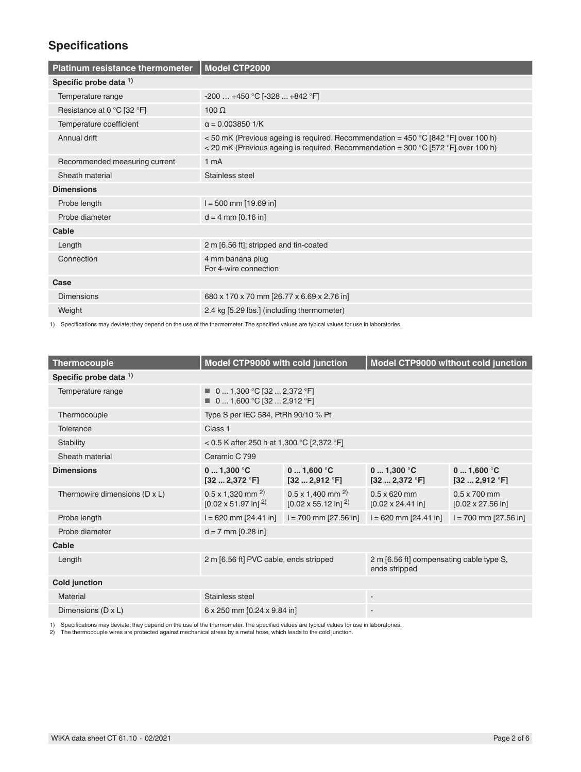# **Specifications**

| <b>Platinum resistance thermometer</b> | <b>Model CTP2000</b>                                                                                                                                                                       |
|----------------------------------------|--------------------------------------------------------------------------------------------------------------------------------------------------------------------------------------------|
| Specific probe data 1)                 |                                                                                                                                                                                            |
| Temperature range                      | $-200+450$ °C [ $-328+842$ °F]                                                                                                                                                             |
| Resistance at 0 °C [32 °F]             | $100 \Omega$                                                                                                                                                                               |
| Temperature coefficient                | $\alpha = 0.003850$ 1/K                                                                                                                                                                    |
| Annual drift                           | <50 mK (Previous ageing is required. Recommendation = 450 °C [842 °F] over 100 h)<br>< 20 mK (Previous ageing is required. Recommendation = $300^{\circ}$ C [572 $^{\circ}$ F] over 100 h) |
| Recommended measuring current          | 1 <sub>m</sub> A                                                                                                                                                                           |
| Sheath material                        | Stainless steel                                                                                                                                                                            |
| <b>Dimensions</b>                      |                                                                                                                                                                                            |
| Probe length                           | $I = 500$ mm [19.69 in]                                                                                                                                                                    |
| Probe diameter                         | $d = 4$ mm [0.16 in]                                                                                                                                                                       |
| Cable                                  |                                                                                                                                                                                            |
| Length                                 | 2 m [6.56 ft]; stripped and tin-coated                                                                                                                                                     |
| Connection                             | 4 mm banana plug<br>For 4-wire connection                                                                                                                                                  |
| Case                                   |                                                                                                                                                                                            |
| <b>Dimensions</b>                      | 680 x 170 x 70 mm [26.77 x 6.69 x 2.76 in]                                                                                                                                                 |
| Weight                                 | 2.4 kg [5.29 lbs.] (including thermometer)                                                                                                                                                 |

1) Specifications may deviate; they depend on the use of the thermometer. The specified values are typical values for use in laboratories.

| <b>Thermocouple</b>           | Model CTP9000 with cold junction                                              |                                                                                       | Model CTP9000 without cold junction                        |                                                   |
|-------------------------------|-------------------------------------------------------------------------------|---------------------------------------------------------------------------------------|------------------------------------------------------------|---------------------------------------------------|
| Specific probe data 1)        |                                                                               |                                                                                       |                                                            |                                                   |
| Temperature range             | $\blacksquare$ 0  1,300 °C [32  2,372 °F]<br>■ 0 1,600 °C [32  2,912 °F]      |                                                                                       |                                                            |                                                   |
| Thermocouple                  | Type S per IEC 584, PtRh 90/10 % Pt                                           |                                                                                       |                                                            |                                                   |
| Tolerance                     | Class 1                                                                       |                                                                                       |                                                            |                                                   |
| Stability                     | < 0.5 K after 250 h at 1,300 °C [2,372 °F]                                    |                                                                                       |                                                            |                                                   |
| Sheath material               | Ceramic C 799                                                                 |                                                                                       |                                                            |                                                   |
| <b>Dimensions</b>             | 01,300 °C<br>$[32 \dots 2, 372 \text{ }^{\circ} \text{F}]$                    | 01,600 °C<br>$[32 \dots 2,912 \text{ }^{\circ}F]$                                     | 01,300 °C<br>$[32 \dots 2, 372 \text{ }^{\circ} \text{F}]$ | 01,600 °C<br>$[32 \dots 2,912 \text{ }^{\circ}F]$ |
| Thermowire dimensions (D x L) | $0.5 \times 1,320$ mm <sup>2)</sup><br>$[0.02 \times 51.97$ in] <sup>2)</sup> | $0.5 \times 1,400$ mm <sup>2)</sup><br>$[0.02 \times 55.12 \text{ in}]$ <sup>2)</sup> | $0.5 \times 620$ mm<br>$[0.02 \times 24.41]$ in]           | $0.5 \times 700$ mm<br>$[0.02 \times 27.56]$ in]  |
| Probe length                  | $I = 620$ mm $[24.41$ in]                                                     | $I = 700$ mm [27.56 in]                                                               | $I = 620$ mm [24.41 in]                                    | $I = 700$ mm [27.56 in]                           |
| Probe diameter                | $d = 7$ mm $[0.28$ in]                                                        |                                                                                       |                                                            |                                                   |
| Cable                         |                                                                               |                                                                                       |                                                            |                                                   |
| Length                        | 2 m [6.56 ft] PVC cable, ends stripped                                        |                                                                                       | 2 m [6.56 ft] compensating cable type S,<br>ends stripped  |                                                   |
| <b>Cold junction</b>          |                                                                               |                                                                                       |                                                            |                                                   |
| Material                      | Stainless steel                                                               |                                                                                       | $\sim$                                                     |                                                   |
| Dimensions (D x L)            | 6 x 250 mm [0.24 x 9.84 in]                                                   |                                                                                       |                                                            |                                                   |

1) Specifications may deviate; they depend on the use of the thermometer. The specified values are typical values for use in laboratories.<br>2) The thermocouple wires are protected against mechanical stress by a metal hose,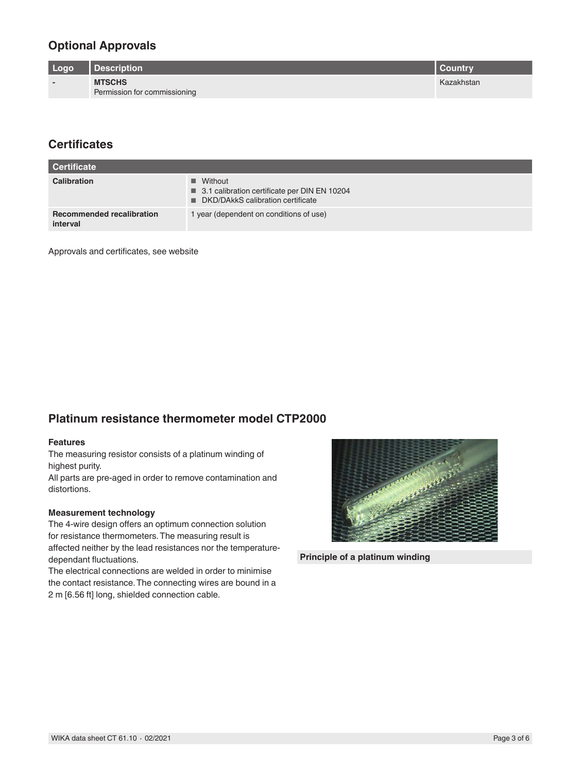## **Optional Approvals**

| Logo                     | Description                                   | <b>Country</b> |
|--------------------------|-----------------------------------------------|----------------|
| $\overline{\phantom{0}}$ | <b>MTSCHS</b><br>Permission for commissioning | Kazakhstan     |

## **Certificates**

| <b>Certificate</b>                           |                                                                                                                 |
|----------------------------------------------|-----------------------------------------------------------------------------------------------------------------|
| Calibration                                  | $\blacksquare$ Without<br>■ 3.1 calibration certificate per DIN EN 10204<br>■ DKD/DAkkS calibration certificate |
| <b>Recommended recalibration</b><br>interval | 1 year (dependent on conditions of use)                                                                         |

Approvals and certificates, see website

### **Platinum resistance thermometer model CTP2000**

#### **Features**

The measuring resistor consists of a platinum winding of highest purity.

All parts are pre-aged in order to remove contamination and distortions.

#### **Measurement technology**

The 4-wire design offers an optimum connection solution for resistance thermometers. The measuring result is affected neither by the lead resistances nor the temperaturedependant fluctuations.

The electrical connections are welded in order to minimise the contact resistance. The connecting wires are bound in a 2 m [6.56 ft] long, shielded connection cable.



**Principle of a platinum winding**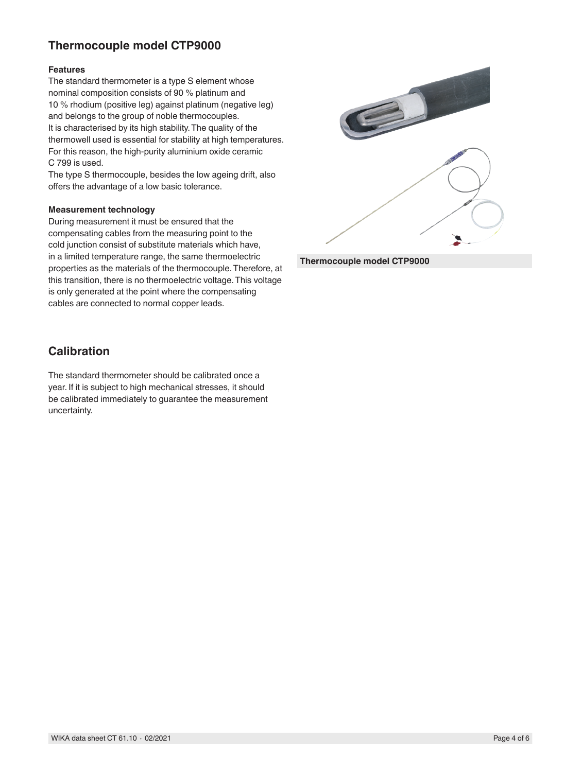# **Thermocouple model CTP9000**

### **Features**

The standard thermometer is a type S element whose nominal composition consists of 90 % platinum and 10 % rhodium (positive leg) against platinum (negative leg) and belongs to the group of noble thermocouples. It is characterised by its high stability. The quality of the thermowell used is essential for stability at high temperatures. For this reason, the high-purity aluminium oxide ceramic C 799 is used.

The type S thermocouple, besides the low ageing drift, also offers the advantage of a low basic tolerance.

#### **Measurement technology**

During measurement it must be ensured that the compensating cables from the measuring point to the cold junction consist of substitute materials which have, in a limited temperature range, the same thermoelectric properties as the materials of the thermocouple. Therefore, at this transition, there is no thermoelectric voltage. This voltage is only generated at the point where the compensating cables are connected to normal copper leads.



**Thermocouple model CTP9000**

### **Calibration**

The standard thermometer should be calibrated once a year. If it is subject to high mechanical stresses, it should be calibrated immediately to guarantee the measurement uncertainty.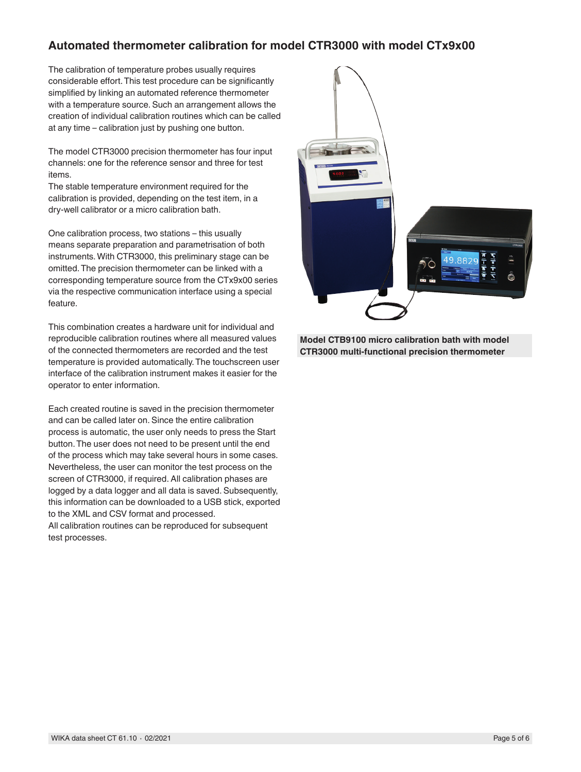### **Automated thermometer calibration for model CTR3000 with model CTx9x00**

The calibration of temperature probes usually requires considerable effort. This test procedure can be significantly simplified by linking an automated reference thermometer with a temperature source. Such an arrangement allows the creation of individual calibration routines which can be called at any time – calibration just by pushing one button.

The model CTR3000 precision thermometer has four input channels: one for the reference sensor and three for test items.

The stable temperature environment required for the calibration is provided, depending on the test item, in a dry-well calibrator or a micro calibration bath.

One calibration process, two stations – this usually means separate preparation and parametrisation of both instruments. With CTR3000, this preliminary stage can be omitted. The precision thermometer can be linked with a corresponding temperature source from the CTx9x00 series via the respective communication interface using a special feature.

This combination creates a hardware unit for individual and reproducible calibration routines where all measured values of the connected thermometers are recorded and the test temperature is provided automatically. The touchscreen user interface of the calibration instrument makes it easier for the operator to enter information.

Each created routine is saved in the precision thermometer and can be called later on. Since the entire calibration process is automatic, the user only needs to press the Start button. The user does not need to be present until the end of the process which may take several hours in some cases. Nevertheless, the user can monitor the test process on the screen of CTR3000, if required. All calibration phases are logged by a data logger and all data is saved. Subsequently, this information can be downloaded to a USB stick, exported to the XML and CSV format and processed. All calibration routines can be reproduced for subsequent test processes.



**Model CTB9100 micro calibration bath with model CTR3000 multi-functional precision thermometer**